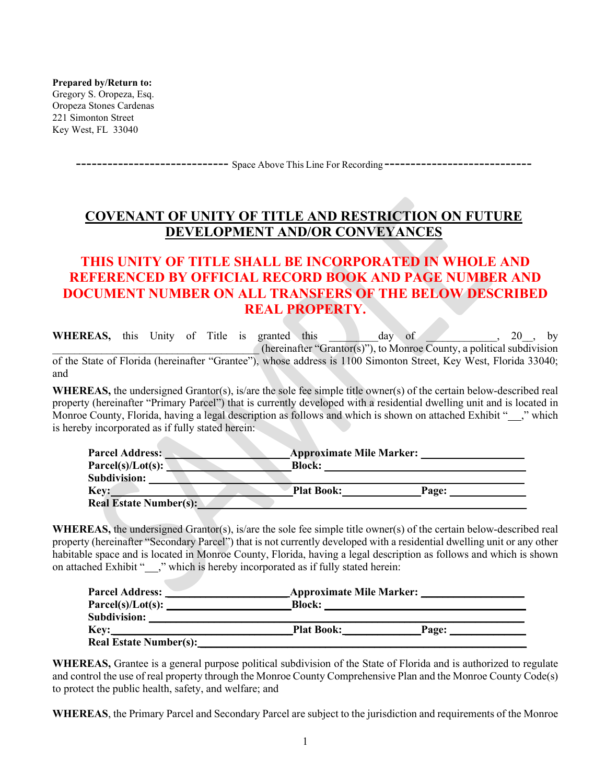**Prepared by/Return to:** Gregory S. Oropeza, Esq. Oropeza Stones Cardenas 221 Simonton Street Key West, FL 33040

----------------------------- Space Above This Line For Recording ----------------------------

# **COVENANT OF UNITY OF TITLE AND RESTRICTION ON FUTURE DEVELOPMENT AND/OR CONVEYANCES**

## **THIS UNITY OF TITLE SHALL BE INCORPORATED IN WHOLE AND REFERENCED BY OFFICIAL RECORD BOOK AND PAGE NUMBER AND DOCUMENT NUMBER ON ALL TRANSFERS OF THE BELOW DESCRIBED REAL PROPERTY.**

**WHEREAS,** this Unity of Title is granted this day of  $\begin{pmatrix} 20 \\ 0 \end{pmatrix}$ , by (hereinafter "Grantor(s)"), to Monroe County, a political subdivision of the State of Florida (hereinafter "Grantee"), whose address is 1100 Simonton Street, Key West, Florida 33040; and

**WHEREAS,** the undersigned Grantor(s), is/are the sole fee simple title owner(s) of the certain below-described real property (hereinafter "Primary Parcel") that is currently developed with a residential dwelling unit and is located in Monroe County, Florida, having a legal description as follows and which is shown on attached Exhibit " ," which is hereby incorporated as if fully stated herein:

| <b>Parcel Address:</b>        | <b>Approximate Mile Marker:</b> |       |
|-------------------------------|---------------------------------|-------|
| $Parcel(s)/Lot(s)$ :          | <b>Block:</b>                   |       |
| <b>Subdivision:</b>           |                                 |       |
| Key:                          | <b>Plat Book:</b>               | Page: |
| <b>Real Estate Number(s):</b> |                                 |       |

**WHEREAS,** the undersigned Grantor(s), is/are the sole fee simple title owner(s) of the certain below-described real property (hereinafter "Secondary Parcel") that is not currently developed with a residential dwelling unit or any other habitable space and is located in Monroe County, Florida, having a legal description as follows and which is shown on attached Exhibit "\_\_\_," which is hereby incorporated as if fully stated herein:

| <b>Parcel Address:</b>        | <b>Approximate Mile Marker:</b> |       |  |
|-------------------------------|---------------------------------|-------|--|
| $Parcel(s)/Lot(s)$ :          | <b>Block:</b>                   |       |  |
| <b>Subdivision:</b>           |                                 |       |  |
| <b>Key:</b>                   | <b>Plat Book:</b>               | Page: |  |
| <b>Real Estate Number(s):</b> |                                 |       |  |

**WHEREAS,** Grantee is a general purpose political subdivision of the State of Florida and is authorized to regulate and control the use of real property through the Monroe County Comprehensive Plan and the Monroe County Code(s) to protect the public health, safety, and welfare; and

**WHEREAS**, the Primary Parcel and Secondary Parcel are subject to the jurisdiction and requirements of the Monroe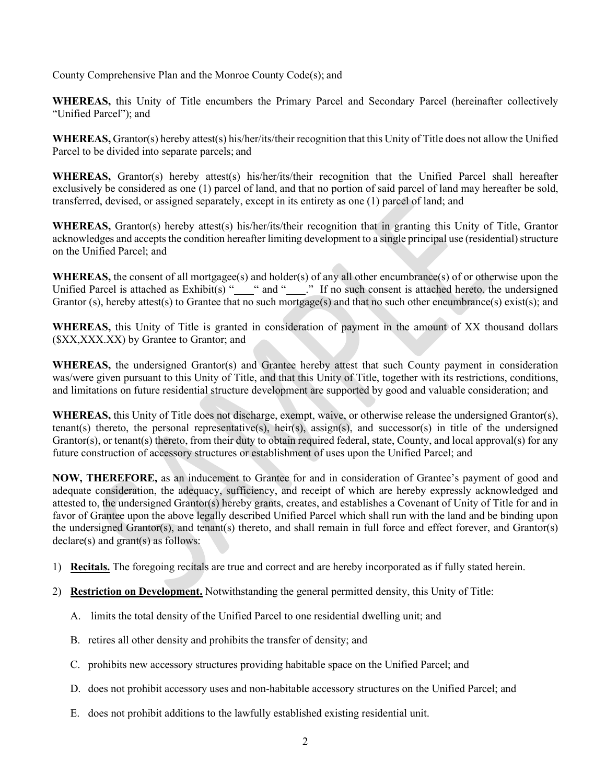County Comprehensive Plan and the Monroe County Code(s); and

**WHEREAS,** this Unity of Title encumbers the Primary Parcel and Secondary Parcel (hereinafter collectively "Unified Parcel"); and

**WHEREAS,** Grantor(s) hereby attest(s) his/her/its/their recognition that this Unity of Title does not allow the Unified Parcel to be divided into separate parcels; and

**WHEREAS,** Grantor(s) hereby attest(s) his/her/its/their recognition that the Unified Parcel shall hereafter exclusively be considered as one (1) parcel of land, and that no portion of said parcel of land may hereafter be sold, transferred, devised, or assigned separately, except in its entirety as one (1) parcel of land; and

**WHEREAS,** Grantor(s) hereby attest(s) his/her/its/their recognition that in granting this Unity of Title, Grantor acknowledges and accepts the condition hereafter limiting development to a single principal use (residential) structure on the Unified Parcel; and

**WHEREAS,** the consent of all mortgagee(s) and holder(s) of any all other encumbrance(s) of or otherwise upon the Unified Parcel is attached as  $Exhibit(s)$  "  $\degree$  " and "  $\degree$  " If no such consent is attached hereto, the undersigned Grantor (s), hereby attest(s) to Grantee that no such mortgage(s) and that no such other encumbrance(s) exist(s); and

**WHEREAS,** this Unity of Title is granted in consideration of payment in the amount of XX thousand dollars (\$XX,XXX.XX) by Grantee to Grantor; and

**WHEREAS,** the undersigned Grantor(s) and Grantee hereby attest that such County payment in consideration was/were given pursuant to this Unity of Title, and that this Unity of Title, together with its restrictions, conditions, and limitations on future residential structure development are supported by good and valuable consideration; and

**WHEREAS,** this Unity of Title does not discharge, exempt, waive, or otherwise release the undersigned Grantor(s), tenant(s) thereto, the personal representative(s), heir(s), assign(s), and successor(s) in title of the undersigned Grantor(s), or tenant(s) thereto, from their duty to obtain required federal, state, County, and local approval(s) for any future construction of accessory structures or establishment of uses upon the Unified Parcel; and

**NOW, THEREFORE,** as an inducement to Grantee for and in consideration of Grantee's payment of good and adequate consideration, the adequacy, sufficiency, and receipt of which are hereby expressly acknowledged and attested to, the undersigned Grantor(s) hereby grants, creates, and establishes a Covenant of Unity of Title for and in favor of Grantee upon the above legally described Unified Parcel which shall run with the land and be binding upon the undersigned Grantor(s), and tenant(s) thereto, and shall remain in full force and effect forever, and Grantor(s) declare(s) and grant(s) as follows:

- 1) **Recitals.** The foregoing recitals are true and correct and are hereby incorporated as if fully stated herein.
- 2) **Restriction on Development.** Notwithstanding the general permitted density, this Unity of Title:
	- A. limits the total density of the Unified Parcel to one residential dwelling unit; and
	- B. retires all other density and prohibits the transfer of density; and
	- C. prohibits new accessory structures providing habitable space on the Unified Parcel; and
	- D. does not prohibit accessory uses and non-habitable accessory structures on the Unified Parcel; and
	- E. does not prohibit additions to the lawfully established existing residential unit.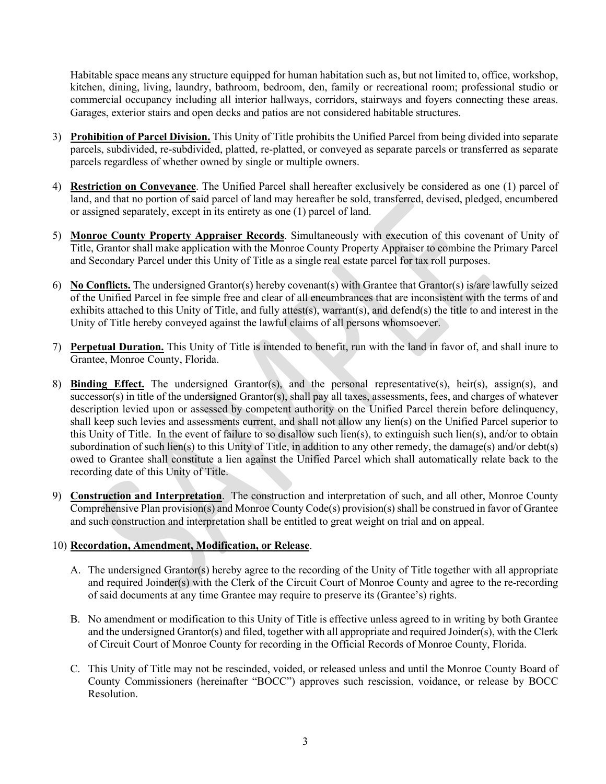Habitable space means any structure equipped for human habitation such as, but not limited to, office, workshop, kitchen, dining, living, laundry, bathroom, bedroom, den, family or recreational room; professional studio or commercial occupancy including all interior hallways, corridors, stairways and foyers connecting these areas. Garages, exterior stairs and open decks and patios are not considered habitable structures.

- 3) **Prohibition of Parcel Division.** This Unity of Title prohibits the Unified Parcel from being divided into separate parcels, subdivided, re-subdivided, platted, re-platted, or conveyed as separate parcels or transferred as separate parcels regardless of whether owned by single or multiple owners.
- 4) **Restriction on Conveyance**. The Unified Parcel shall hereafter exclusively be considered as one (1) parcel of land, and that no portion of said parcel of land may hereafter be sold, transferred, devised, pledged, encumbered or assigned separately, except in its entirety as one (1) parcel of land.
- 5) **Monroe County Property Appraiser Records**. Simultaneously with execution of this covenant of Unity of Title, Grantor shall make application with the Monroe County Property Appraiser to combine the Primary Parcel and Secondary Parcel under this Unity of Title as a single real estate parcel for tax roll purposes.
- 6) **No Conflicts.** The undersigned Grantor(s) hereby covenant(s) with Grantee that Grantor(s) is/are lawfully seized of the Unified Parcel in fee simple free and clear of all encumbrances that are inconsistent with the terms of and exhibits attached to this Unity of Title, and fully attest(s), warrant(s), and defend(s) the title to and interest in the Unity of Title hereby conveyed against the lawful claims of all persons whomsoever.
- 7) **Perpetual Duration.** This Unity of Title is intended to benefit, run with the land in favor of, and shall inure to Grantee, Monroe County, Florida.
- 8) **Binding Effect.** The undersigned Grantor(s), and the personal representative(s), heir(s), assign(s), and successor(s) in title of the undersigned Grantor(s), shall pay all taxes, assessments, fees, and charges of whatever description levied upon or assessed by competent authority on the Unified Parcel therein before delinquency, shall keep such levies and assessments current, and shall not allow any lien(s) on the Unified Parcel superior to this Unity of Title. In the event of failure to so disallow such lien(s), to extinguish such lien(s), and/or to obtain subordination of such lien(s) to this Unity of Title, in addition to any other remedy, the damage(s) and/or debt(s) owed to Grantee shall constitute a lien against the Unified Parcel which shall automatically relate back to the recording date of this Unity of Title.
- 9) **Construction and Interpretation**. The construction and interpretation of such, and all other, Monroe County Comprehensive Plan provision(s) and Monroe County Code(s) provision(s) shall be construed in favor of Grantee and such construction and interpretation shall be entitled to great weight on trial and on appeal.

### 10) **Recordation, Amendment, Modification, or Release**.

- A. The undersigned Grantor(s) hereby agree to the recording of the Unity of Title together with all appropriate and required Joinder(s) with the Clerk of the Circuit Court of Monroe County and agree to the re-recording of said documents at any time Grantee may require to preserve its (Grantee's) rights.
- B. No amendment or modification to this Unity of Title is effective unless agreed to in writing by both Grantee and the undersigned Grantor(s) and filed, together with all appropriate and required Joinder(s), with the Clerk of Circuit Court of Monroe County for recording in the Official Records of Monroe County, Florida.
- C. This Unity of Title may not be rescinded, voided, or released unless and until the Monroe County Board of County Commissioners (hereinafter "BOCC") approves such rescission, voidance, or release by BOCC Resolution.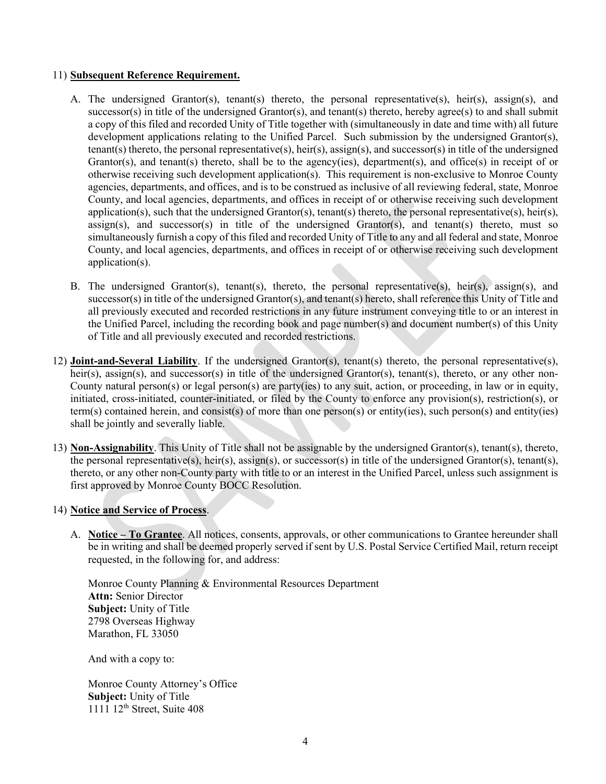#### 11) **Subsequent Reference Requirement.**

- A. The undersigned Grantor(s), tenant(s) thereto, the personal representative(s), heir(s), assign(s), and successor(s) in title of the undersigned Grantor(s), and tenant(s) thereto, hereby agree(s) to and shall submit a copy of this filed and recorded Unity of Title together with (simultaneously in date and time with) all future development applications relating to the Unified Parcel. Such submission by the undersigned Grantor(s), tenant(s) thereto, the personal representative(s), heir(s), assign(s), and successor(s) in title of the undersigned Grantor(s), and tenant(s) thereto, shall be to the agency(ies), department(s), and office(s) in receipt of or otherwise receiving such development application(s). This requirement is non-exclusive to Monroe County agencies, departments, and offices, and is to be construed as inclusive of all reviewing federal, state, Monroe County, and local agencies, departments, and offices in receipt of or otherwise receiving such development application(s), such that the undersigned Grantor(s), tenant(s) thereto, the personal representative(s), heir(s),  $\alpha$ ssign(s), and successor(s) in title of the undersigned Grantor(s), and tenant(s) thereto, must so simultaneously furnish a copy of this filed and recorded Unity of Title to any and all federal and state, Monroe County, and local agencies, departments, and offices in receipt of or otherwise receiving such development application(s).
- B. The undersigned Grantor(s), tenant(s), thereto, the personal representative(s), heir(s), assign(s), and successor(s) in title of the undersigned Grantor(s), and tenant(s) hereto, shall reference this Unity of Title and all previously executed and recorded restrictions in any future instrument conveying title to or an interest in the Unified Parcel, including the recording book and page number(s) and document number(s) of this Unity of Title and all previously executed and recorded restrictions.
- 12) **Joint-and-Several Liability**. If the undersigned Grantor(s), tenant(s) thereto, the personal representative(s), heir(s), assign(s), and successor(s) in title of the undersigned Grantor(s), tenant(s), thereto, or any other non-County natural person(s) or legal person(s) are party(ies) to any suit, action, or proceeding, in law or in equity, initiated, cross-initiated, counter-initiated, or filed by the County to enforce any provision(s), restriction(s), or term(s) contained herein, and consist(s) of more than one person(s) or entity(ies), such person(s) and entity(ies) shall be jointly and severally liable.
- 13) **Non-Assignability**. This Unity of Title shall not be assignable by the undersigned Grantor(s), tenant(s), thereto, the personal representative(s), heir(s), assign(s), or successor(s) in title of the undersigned Grantor(s), tenant(s), thereto, or any other non-County party with title to or an interest in the Unified Parcel, unless such assignment is first approved by Monroe County BOCC Resolution.

#### 14) **Notice and Service of Process**.

A. **Notice – To Grantee**. All notices, consents, approvals, or other communications to Grantee hereunder shall be in writing and shall be deemed properly served if sent by U.S. Postal Service Certified Mail, return receipt requested, in the following for, and address:

Monroe County Planning & Environmental Resources Department **Attn:** Senior Director **Subject:** Unity of Title 2798 Overseas Highway Marathon, FL 33050

And with a copy to:

Monroe County Attorney's Office **Subject:** Unity of Title 1111 12<sup>th</sup> Street, Suite 408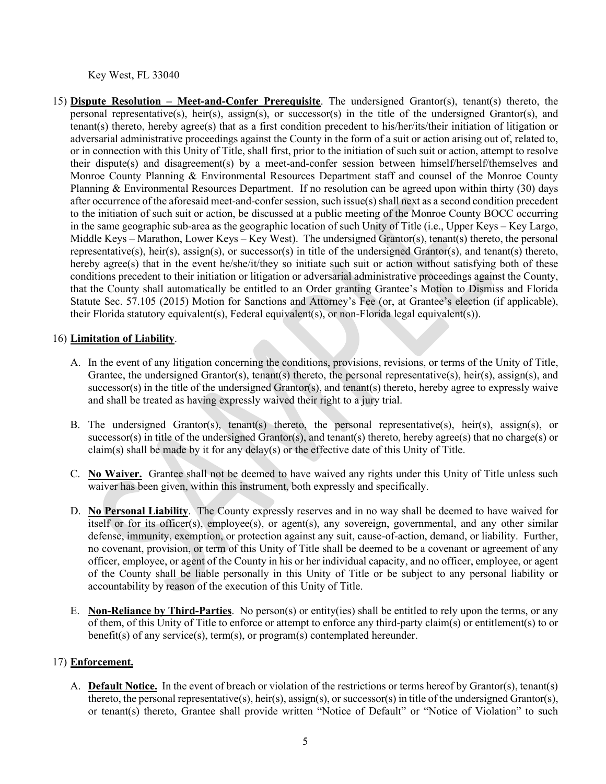Key West, FL 33040

15) **Dispute Resolution – Meet-and-Confer Prerequisite**. The undersigned Grantor(s), tenant(s) thereto, the personal representative(s), heir(s), assign(s), or successor(s) in the title of the undersigned Grantor(s), and tenant(s) thereto, hereby agree(s) that as a first condition precedent to his/her/its/their initiation of litigation or adversarial administrative proceedings against the County in the form of a suit or action arising out of, related to, or in connection with this Unity of Title, shall first, prior to the initiation of such suit or action, attempt to resolve their dispute(s) and disagreement(s) by a meet-and-confer session between himself/herself/themselves and Monroe County Planning & Environmental Resources Department staff and counsel of the Monroe County Planning & Environmental Resources Department. If no resolution can be agreed upon within thirty (30) days after occurrence of the aforesaid meet-and-confer session, such issue(s) shall next as a second condition precedent to the initiation of such suit or action, be discussed at a public meeting of the Monroe County BOCC occurring in the same geographic sub-area as the geographic location of such Unity of Title (i.e., Upper Keys – Key Largo, Middle Keys – Marathon, Lower Keys – Key West). The undersigned Grantor(s), tenant(s) thereto, the personal representative(s), heir(s), assign(s), or successor(s) in title of the undersigned Grantor(s), and tenant(s) thereto, hereby agree(s) that in the event he/she/it/they so initiate such suit or action without satisfying both of these conditions precedent to their initiation or litigation or adversarial administrative proceedings against the County, that the County shall automatically be entitled to an Order granting Grantee's Motion to Dismiss and Florida Statute Sec. 57.105 (2015) Motion for Sanctions and Attorney's Fee (or, at Grantee's election (if applicable), their Florida statutory equivalent(s), Federal equivalent(s), or non-Florida legal equivalent(s)).

### 16) **Limitation of Liability**.

- A. In the event of any litigation concerning the conditions, provisions, revisions, or terms of the Unity of Title, Grantee, the undersigned Grantor(s), tenant(s) thereto, the personal representative(s), heir(s), assign(s), and successor(s) in the title of the undersigned Grantor(s), and tenant(s) thereto, hereby agree to expressly waive and shall be treated as having expressly waived their right to a jury trial.
- B. The undersigned Grantor(s), tenant(s) thereto, the personal representative(s), heir(s), assign(s), or successor(s) in title of the undersigned Grantor(s), and tenant(s) thereto, hereby agree(s) that no charge(s) or claim(s) shall be made by it for any delay(s) or the effective date of this Unity of Title.
- C. **No Waiver.** Grantee shall not be deemed to have waived any rights under this Unity of Title unless such waiver has been given, within this instrument, both expressly and specifically.
- D. **No Personal Liability**. The County expressly reserves and in no way shall be deemed to have waived for itself or for its officer(s), employee(s), or agent(s), any sovereign, governmental, and any other similar defense, immunity, exemption, or protection against any suit, cause-of-action, demand, or liability. Further, no covenant, provision, or term of this Unity of Title shall be deemed to be a covenant or agreement of any officer, employee, or agent of the County in his or her individual capacity, and no officer, employee, or agent of the County shall be liable personally in this Unity of Title or be subject to any personal liability or accountability by reason of the execution of this Unity of Title.
- E. **Non-Reliance by Third-Parties**. No person(s) or entity(ies) shall be entitled to rely upon the terms, or any of them, of this Unity of Title to enforce or attempt to enforce any third-party claim(s) or entitlement(s) to or benefit(s) of any service(s), term(s), or program(s) contemplated hereunder.

### 17) **Enforcement.**

A. **Default Notice.** In the event of breach or violation of the restrictions or terms hereof by Grantor(s), tenant(s) thereto, the personal representative(s), heir(s), assign(s), or successor(s) in title of the undersigned Grantor(s), or tenant(s) thereto, Grantee shall provide written "Notice of Default" or "Notice of Violation" to such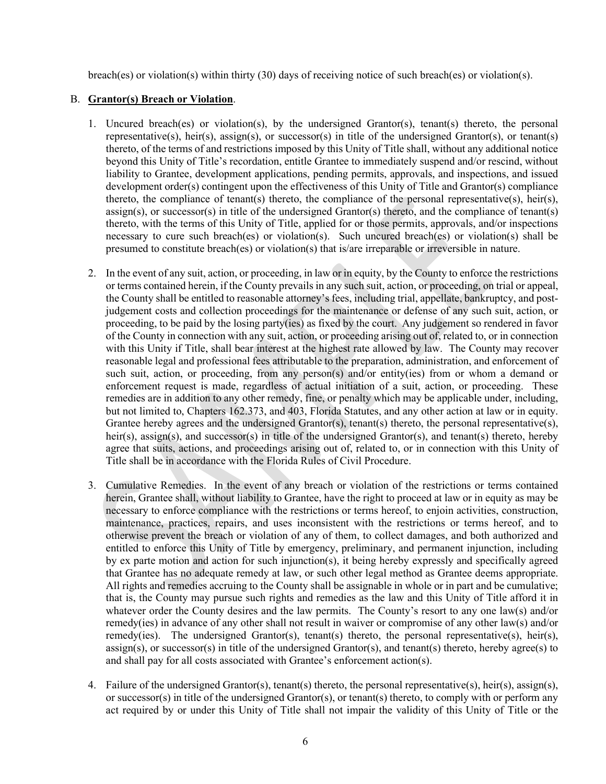breach(es) or violation(s) within thirty (30) days of receiving notice of such breach(es) or violation(s).

#### B. **Grantor(s) Breach or Violation**.

- 1. Uncured breach(es) or violation(s), by the undersigned Grantor(s), tenant(s) thereto, the personal representative(s), heir(s), assign(s), or successor(s) in title of the undersigned Grantor(s), or tenant(s) thereto, of the terms of and restrictions imposed by this Unity of Title shall, without any additional notice beyond this Unity of Title's recordation, entitle Grantee to immediately suspend and/or rescind, without liability to Grantee, development applications, pending permits, approvals, and inspections, and issued development order(s) contingent upon the effectiveness of this Unity of Title and Grantor(s) compliance thereto, the compliance of tenant(s) thereto, the compliance of the personal representative(s), heir(s), assign(s), or successor(s) in title of the undersigned Grantor(s) thereto, and the compliance of tenant(s) thereto, with the terms of this Unity of Title, applied for or those permits, approvals, and/or inspections necessary to cure such breach(es) or violation(s). Such uncured breach(es) or violation(s) shall be presumed to constitute breach(es) or violation(s) that is/are irreparable or irreversible in nature.
- 2. In the event of any suit, action, or proceeding, in law or in equity, by the County to enforce the restrictions or terms contained herein, if the County prevails in any such suit, action, or proceeding, on trial or appeal, the County shall be entitled to reasonable attorney's fees, including trial, appellate, bankruptcy, and postjudgement costs and collection proceedings for the maintenance or defense of any such suit, action, or proceeding, to be paid by the losing party(ies) as fixed by the court. Any judgement so rendered in favor of the County in connection with any suit, action, or proceeding arising out of, related to, or in connection with this Unity if Title, shall bear interest at the highest rate allowed by law. The County may recover reasonable legal and professional fees attributable to the preparation, administration, and enforcement of such suit, action, or proceeding, from any person(s) and/or entity(ies) from or whom a demand or enforcement request is made, regardless of actual initiation of a suit, action, or proceeding. These remedies are in addition to any other remedy, fine, or penalty which may be applicable under, including, but not limited to, Chapters 162.373, and 403, Florida Statutes, and any other action at law or in equity. Grantee hereby agrees and the undersigned Grantor(s), tenant(s) thereto, the personal representative(s), heir(s), assign(s), and successor(s) in title of the undersigned Grantor(s), and tenant(s) thereto, hereby agree that suits, actions, and proceedings arising out of, related to, or in connection with this Unity of Title shall be in accordance with the Florida Rules of Civil Procedure.
- 3. Cumulative Remedies. In the event of any breach or violation of the restrictions or terms contained herein, Grantee shall, without liability to Grantee, have the right to proceed at law or in equity as may be necessary to enforce compliance with the restrictions or terms hereof, to enjoin activities, construction, maintenance, practices, repairs, and uses inconsistent with the restrictions or terms hereof, and to otherwise prevent the breach or violation of any of them, to collect damages, and both authorized and entitled to enforce this Unity of Title by emergency, preliminary, and permanent injunction, including by ex parte motion and action for such injunction(s), it being hereby expressly and specifically agreed that Grantee has no adequate remedy at law, or such other legal method as Grantee deems appropriate. All rights and remedies accruing to the County shall be assignable in whole or in part and be cumulative; that is, the County may pursue such rights and remedies as the law and this Unity of Title afford it in whatever order the County desires and the law permits. The County's resort to any one law(s) and/or remedy(ies) in advance of any other shall not result in waiver or compromise of any other law(s) and/or remedy(ies). The undersigned Grantor(s), tenant(s) thereto, the personal representative(s), heir(s), assign(s), or successor(s) in title of the undersigned Grantor(s), and tenant(s) thereto, hereby agree(s) to and shall pay for all costs associated with Grantee's enforcement action(s).
- 4. Failure of the undersigned Grantor(s), tenant(s) thereto, the personal representative(s), heir(s), assign(s), or successor(s) in title of the undersigned Grantor(s), or tenant(s) thereto, to comply with or perform any act required by or under this Unity of Title shall not impair the validity of this Unity of Title or the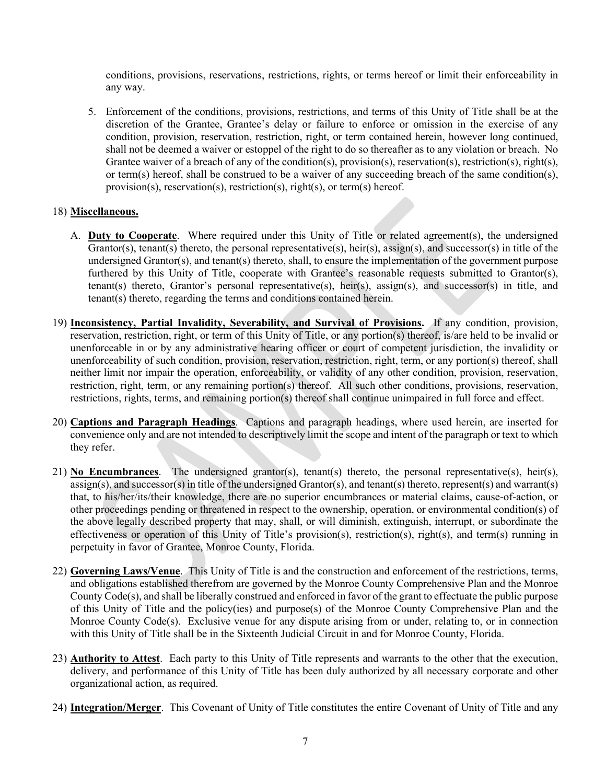conditions, provisions, reservations, restrictions, rights, or terms hereof or limit their enforceability in any way.

5. Enforcement of the conditions, provisions, restrictions, and terms of this Unity of Title shall be at the discretion of the Grantee, Grantee's delay or failure to enforce or omission in the exercise of any condition, provision, reservation, restriction, right, or term contained herein, however long continued, shall not be deemed a waiver or estoppel of the right to do so thereafter as to any violation or breach. No Grantee waiver of a breach of any of the condition(s), provision(s), reservation(s), restriction(s), right(s), or term(s) hereof, shall be construed to be a waiver of any succeeding breach of the same condition(s), provision(s), reservation(s), restriction(s), right(s), or term(s) hereof.

### 18) **Miscellaneous.**

- A. **Duty to Cooperate**. Where required under this Unity of Title or related agreement(s), the undersigned Grantor(s), tenant(s) thereto, the personal representative(s), heir(s), assign(s), and successor(s) in title of the undersigned Grantor(s), and tenant(s) thereto, shall, to ensure the implementation of the government purpose furthered by this Unity of Title, cooperate with Grantee's reasonable requests submitted to Grantor(s), tenant(s) thereto, Grantor's personal representative(s), heir(s), assign(s), and successor(s) in title, and tenant(s) thereto, regarding the terms and conditions contained herein.
- 19) **Inconsistency, Partial Invalidity, Severability, and Survival of Provisions.** If any condition, provision, reservation, restriction, right, or term of this Unity of Title, or any portion(s) thereof, is/are held to be invalid or unenforceable in or by any administrative hearing officer or court of competent jurisdiction, the invalidity or unenforceability of such condition, provision, reservation, restriction, right, term, or any portion(s) thereof, shall neither limit nor impair the operation, enforceability, or validity of any other condition, provision, reservation, restriction, right, term, or any remaining portion(s) thereof. All such other conditions, provisions, reservation, restrictions, rights, terms, and remaining portion(s) thereof shall continue unimpaired in full force and effect.
- 20) **Captions and Paragraph Headings**. Captions and paragraph headings, where used herein, are inserted for convenience only and are not intended to descriptively limit the scope and intent of the paragraph or text to which they refer.
- 21) **No Encumbrances**. The undersigned grantor(s), tenant(s) thereto, the personal representative(s), heir(s), assign(s), and successor(s) in title of the undersigned Grantor(s), and tenant(s) thereto, represent(s) and warrant(s) that, to his/her/its/their knowledge, there are no superior encumbrances or material claims, cause-of-action, or other proceedings pending or threatened in respect to the ownership, operation, or environmental condition(s) of the above legally described property that may, shall, or will diminish, extinguish, interrupt, or subordinate the effectiveness or operation of this Unity of Title's provision(s), restriction(s), right(s), and term(s) running in perpetuity in favor of Grantee, Monroe County, Florida.
- 22) **Governing Laws/Venue**. This Unity of Title is and the construction and enforcement of the restrictions, terms, and obligations established therefrom are governed by the Monroe County Comprehensive Plan and the Monroe County Code(s), and shall be liberally construed and enforced in favor of the grant to effectuate the public purpose of this Unity of Title and the policy(ies) and purpose(s) of the Monroe County Comprehensive Plan and the Monroe County Code(s). Exclusive venue for any dispute arising from or under, relating to, or in connection with this Unity of Title shall be in the Sixteenth Judicial Circuit in and for Monroe County, Florida.
- 23) **Authority to Attest**. Each party to this Unity of Title represents and warrants to the other that the execution, delivery, and performance of this Unity of Title has been duly authorized by all necessary corporate and other organizational action, as required.
- 24) **Integration/Merger**. This Covenant of Unity of Title constitutes the entire Covenant of Unity of Title and any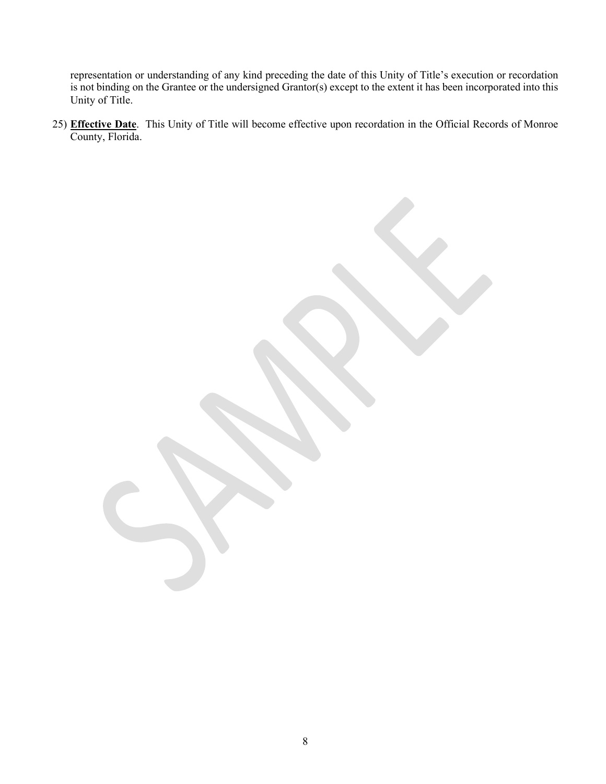representation or understanding of any kind preceding the date of this Unity of Title's execution or recordation is not binding on the Grantee or the undersigned Grantor(s) except to the extent it has been incorporated into this Unity of Title.

25) **Effective Date**. This Unity of Title will become effective upon recordation in the Official Records of Monroe County, Florida.

8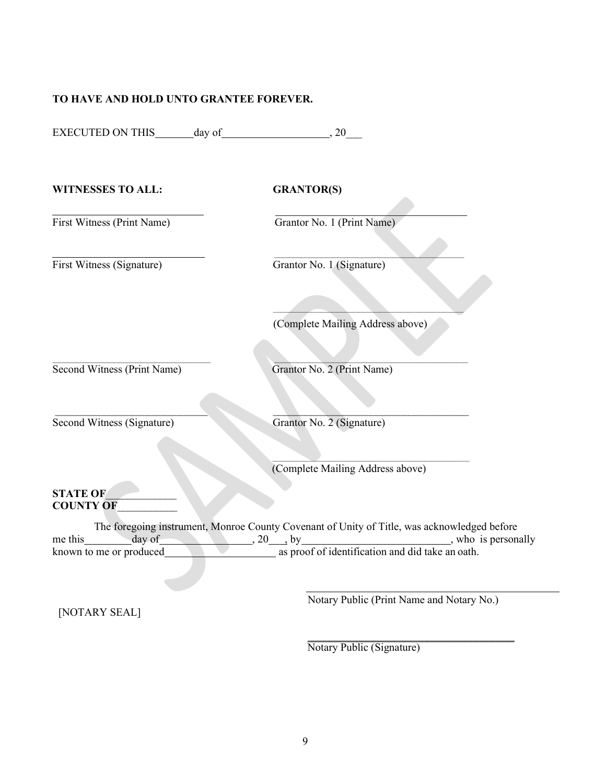### **TO HAVE AND HOLD UNTO GRANTEE FOREVER.**

| <b>WITNESSES TO ALL:</b>                  | <b>GRANTOR(S)</b>                                                                                                                                                                                                    |
|-------------------------------------------|----------------------------------------------------------------------------------------------------------------------------------------------------------------------------------------------------------------------|
| First Witness (Print Name)                | Grantor No. 1 (Print Name)                                                                                                                                                                                           |
| First Witness (Signature)                 | Grantor No. 1 (Signature)                                                                                                                                                                                            |
|                                           | (Complete Mailing Address above)                                                                                                                                                                                     |
| Second Witness (Print Name)               | Grantor No. 2 (Print Name)                                                                                                                                                                                           |
| Second Witness (Signature)                | Grantor No. 2 (Signature)                                                                                                                                                                                            |
|                                           | (Complete Mailing Address above)                                                                                                                                                                                     |
| <b>STATE OF</b><br><b>COUNTY OF</b>       |                                                                                                                                                                                                                      |
| me this day of<br>known to me or produced | The foregoing instrument, Monroe County Covenant of Unity of Title, was acknowledged before<br>$\sqrt{20}$ , by $\sqrt{20}$ , by $\sqrt{20}$ , who is personally<br>as proof of identification and did take an oath. |
| [NOTARY SEAL]                             | Notary Public (Print Name and Notary No.)                                                                                                                                                                            |

\_\_\_\_\_\_\_\_\_\_\_\_\_\_\_\_\_\_\_\_\_\_\_\_\_\_\_\_\_\_\_\_\_\_\_\_\_\_ Notary Public (Signature)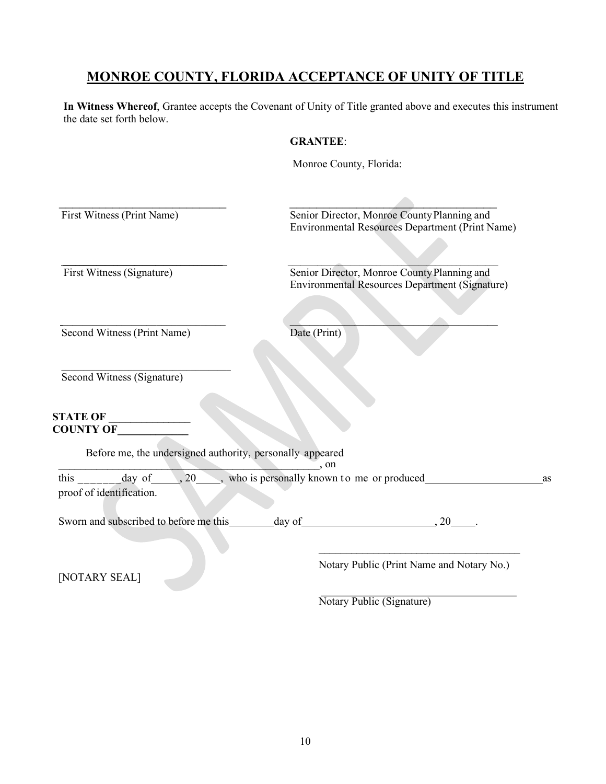### **MONROE COUNTY, FLORIDA ACCEPTANCE OF UNITY OF TITLE**

**In Witness Whereof**, Grantee accepts the Covenant of Unity of Title granted above and executes this instrument the date set forth below.

### **GRANTEE**:

Monroe County, Florida: First Witness (Print Name) Senior Director, Monroe County Planning and Environmental Resources Department (Print Name)  $\frac{1}{2}$  ,  $\frac{1}{2}$  ,  $\frac{1}{2}$  ,  $\frac{1}{2}$  ,  $\frac{1}{2}$  ,  $\frac{1}{2}$  ,  $\frac{1}{2}$  ,  $\frac{1}{2}$  ,  $\frac{1}{2}$  ,  $\frac{1}{2}$  ,  $\frac{1}{2}$  ,  $\frac{1}{2}$  ,  $\frac{1}{2}$  ,  $\frac{1}{2}$  ,  $\frac{1}{2}$  ,  $\frac{1}{2}$  ,  $\frac{1}{2}$  ,  $\frac{1}{2}$  ,  $\frac{1$ First Witness (Signature) Senior Director, Monroe County Planning and Environmental Resources Department (Signature)  $\overline{\phantom{a}}$  , and the set of the set of the set of the set of the set of the set of the set of the set of the set of the set of the set of the set of the set of the set of the set of the set of the set of the set of the s Second Witness (Print Name) Date (Print)  $\overline{\phantom{a}}$  ,  $\overline{\phantom{a}}$  ,  $\overline{\phantom{a}}$  ,  $\overline{\phantom{a}}$  ,  $\overline{\phantom{a}}$  ,  $\overline{\phantom{a}}$  ,  $\overline{\phantom{a}}$  ,  $\overline{\phantom{a}}$  ,  $\overline{\phantom{a}}$  ,  $\overline{\phantom{a}}$  ,  $\overline{\phantom{a}}$  ,  $\overline{\phantom{a}}$  ,  $\overline{\phantom{a}}$  ,  $\overline{\phantom{a}}$  ,  $\overline{\phantom{a}}$  ,  $\overline{\phantom{a}}$  Second Witness (Signature) **STATE OF COUNTY OF**  Before me, the undersigned authority, personally appeared \_\_\_\_\_\_\_\_\_\_\_\_\_\_\_\_\_\_\_\_\_\_\_\_\_\_\_\_\_\_\_\_\_\_\_\_\_\_\_\_\_\_\_\_\_\_\_\_, on this  $\frac{day \text{ of } (x, 20, ..., x)}{x}$ , who is personally known to me or produced as proof of identification. Sworn and subscribed to before me this day of 30 .  $\overline{\phantom{a}}$  ,  $\overline{\phantom{a}}$  ,  $\overline{\phantom{a}}$  ,  $\overline{\phantom{a}}$  ,  $\overline{\phantom{a}}$  ,  $\overline{\phantom{a}}$  ,  $\overline{\phantom{a}}$  ,  $\overline{\phantom{a}}$  ,  $\overline{\phantom{a}}$  ,  $\overline{\phantom{a}}$  ,  $\overline{\phantom{a}}$  ,  $\overline{\phantom{a}}$  ,  $\overline{\phantom{a}}$  ,  $\overline{\phantom{a}}$  ,  $\overline{\phantom{a}}$  ,  $\overline{\phantom{a}}$  Notary Public (Print Name and Notary No.) [NOTARY SEAL]

Notary Public (Signature)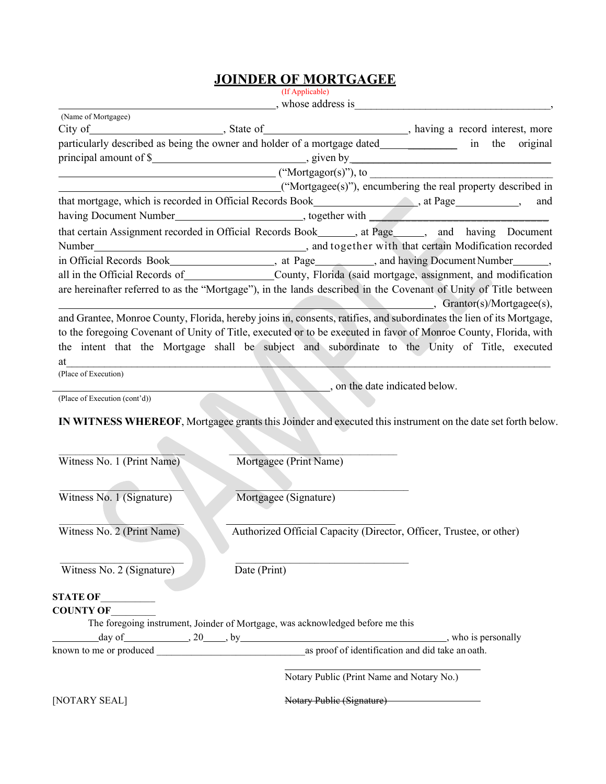# **JOINDER OF MORTGAGEE**

(If Applicable)

|                               | $\frac{1}{2}$ , whose address is $\frac{1}{2}$ , whose address is $\frac{1}{2}$                                                       |     |  |
|-------------------------------|---------------------------------------------------------------------------------------------------------------------------------------|-----|--|
| (Name of Mortgagee)           |                                                                                                                                       |     |  |
|                               | particularly described as being the owner and holder of a mortgage dated_______________________ in the original                       |     |  |
|                               |                                                                                                                                       |     |  |
|                               |                                                                                                                                       |     |  |
|                               | ("Mortgagee(s)"), encumbering the real property described in                                                                          |     |  |
|                               |                                                                                                                                       | and |  |
|                               | that mortgage, which is recorded in Official Records Book_______________________, at Page_____________,                               |     |  |
|                               | having Document Number<br>that certain Assignment recorded in Official Records Book______, at Page_____, and having Document          |     |  |
|                               |                                                                                                                                       |     |  |
|                               |                                                                                                                                       |     |  |
|                               | all in the Official Records of County, Florida (said mortgage, assignment, and modification                                           |     |  |
|                               | are hereinafter referred to as the "Mortgage"), in the lands described in the Covenant of Unity of Title between                      |     |  |
|                               | Crantor(s)/Mortgagee(s),                                                                                                              |     |  |
|                               | and Grantee, Monroe County, Florida, hereby joins in, consents, ratifies, and subordinates the lien of its Mortgage,                  |     |  |
|                               | to the foregoing Covenant of Unity of Title, executed or to be executed in favor of Monroe County, Florida, with                      |     |  |
|                               | the intent that the Mortgage shall be subject and subordinate to the Unity of Title, executed                                         |     |  |
| at                            |                                                                                                                                       |     |  |
| (Place of Execution)          |                                                                                                                                       |     |  |
|                               | on the date indicated below.                                                                                                          |     |  |
| (Place of Execution (cont'd)) |                                                                                                                                       |     |  |
| Witness No. 1 (Print Name)    | IN WITNESS WHEREOF, Mortgagee grants this Joinder and executed this instrument on the date set forth below.<br>Mortgagee (Print Name) |     |  |
| Witness No. 1 (Signature)     | Mortgagee (Signature)                                                                                                                 |     |  |
|                               |                                                                                                                                       |     |  |
| Witness No. 2 (Print Name)    | Authorized Official Capacity (Director, Officer, Trustee, or other)                                                                   |     |  |
| Witness No. 2 (Signature)     | Date (Print)                                                                                                                          |     |  |
| <b>STATE OF</b>               |                                                                                                                                       |     |  |
| <b>COUNTY OF</b>              |                                                                                                                                       |     |  |
|                               | The foregoing instrument, Joinder of Mortgage, was acknowledged before me this                                                        |     |  |
|                               |                                                                                                                                       |     |  |
|                               |                                                                                                                                       |     |  |
|                               | Notary Public (Print Name and Notary No.)                                                                                             |     |  |
| [NOTARY SEAL]                 | Notary Public (Signature)                                                                                                             |     |  |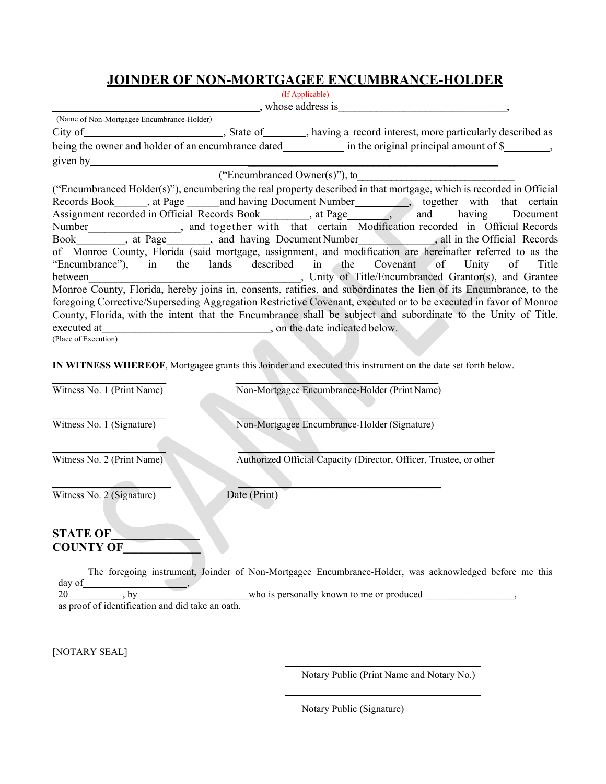### **JOINDER OF NON-MORTGAGEE ENCUMBRANCE-HOLDER**

| (If Applicable)                                                                                                       |
|-----------------------------------------------------------------------------------------------------------------------|
| , whose address is                                                                                                    |
| (Name of Non-Mortgagee Encumbrance-Holder)                                                                            |
|                                                                                                                       |
| being the owner and holder of an encumbrance dated _________________ in the original principal amount of \$__________ |
| given by                                                                                                              |
| $($ "Encumbranced Owner(s)"), to                                                                                      |
| ("Encumbranced Holder(s)"), encumbering the real property described in that mortgage, which is recorded in Official   |
| Records Book ___, at Page ______ and having Document Number__________, together with that certain                     |
| Assignment recorded in Official Records Book, at Page _______, and having Document                                    |
| Number__________________, and together with that certain Modification recorded in Official Records                    |
| Book_________, at Page________, and having Document Number____________, all in the Official Records                   |
| of Monroe_County, Florida (said mortgage, assignment, and modification are hereinafter referred to as the             |
| "Encumbrance"), in the lands described in the Covenant of Unity of Title                                              |
| Unity of Title/Encumbranced Grantor(s), and Grantee<br>between                                                        |
| Monroe County, Florida, hereby joins in, consents, ratifies, and subordinates the lien of its Encumbrance, to the     |
| foregoing Corrective/Superseding Aggregation Restrictive Covenant, executed or to be executed in favor of Monroe      |
| County, Florida, with the intent that the Encumbrance shall be subject and subordinate to the Unity of Title,         |
| executed at<br>, on the date indicated below.                                                                         |
| (Place of Execution)                                                                                                  |

**IN WITNESS WHEREOF**, Mortgagee grants this Joinder and executed this instrument on the date set forth below.

| Witness No. 1 (Print Name)          | Non-Mortgagee Encumbrance-Holder (Print Name)                      |
|-------------------------------------|--------------------------------------------------------------------|
| Witness No. 1 (Signature)           | Non-Mortgagee Encumbrance-Holder (Signature)                       |
| Witness No. 2 (Print Name)          | Authorized Official Capacity (Director, Officer, Trustee, or other |
| Witness No. 2 (Signature)           | Date (Print)                                                       |
| <b>STATE OF</b><br><b>COUNTY OF</b> |                                                                    |

The foregoing instrument, Joinder of Non-Mortgagee Encumbrance-Holder, was acknowledged before me this day of  $\qquad \qquad$ , 20\_\_\_\_\_\_\_\_\_\_\_, by \_\_\_\_\_\_\_\_\_\_\_\_\_\_\_\_\_\_\_\_\_\_who is personally known to me or produced \_\_\_\_\_\_\_\_\_\_\_\_\_\_\_\_\_\_,

as proof of identification and did take an oath.

[NOTARY SEAL]

Notary Public (Print Name and Notary No.)

Notary Public (Signature)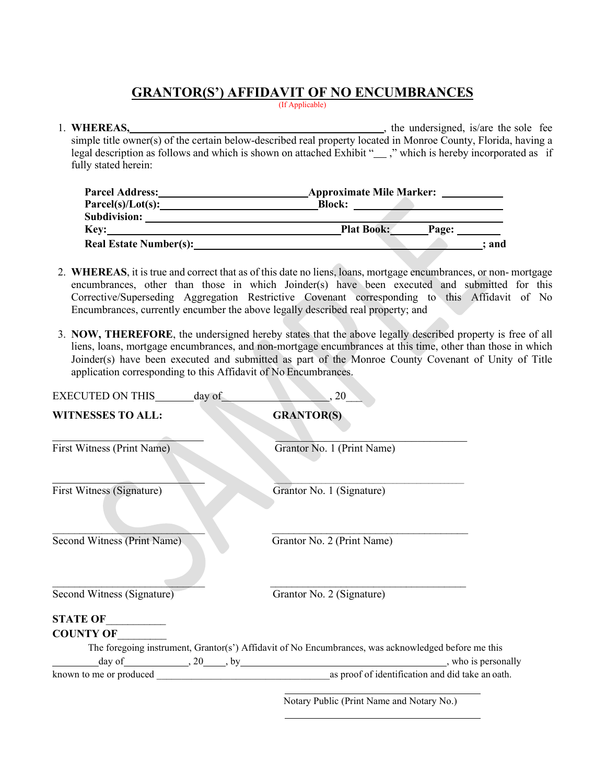## **GRANTOR(S') AFFIDAVIT OF NO ENCUMBRANCES**

(If Applicable)

### 1. **WHEREAS,**  $\blacksquare$ , the undersigned, is/are the sole fee simple title owner(s) of the certain below-described real property located in Monroe County, Florida, having a legal description as follows and which is shown on attached Exhibit "\_\_\_," which is hereby incorporated as if fully stated herein:

| <b>Parcel Address:</b>        | <b>Approximate Mile Marker:</b> |       |
|-------------------------------|---------------------------------|-------|
| $Parcel(s)/Lot(s)$ :          | <b>Block:</b>                   |       |
| <b>Subdivision:</b>           |                                 |       |
| <b>Key:</b>                   | <b>Plat Book:</b>               | Page: |
| <b>Real Estate Number(s):</b> |                                 | : and |

- 2. **WHEREAS**, it is true and correct that as of this date no liens, loans, mortgage encumbrances, or non- mortgage encumbrances, other than those in which Joinder(s) have been executed and submitted for this Corrective/Superseding Aggregation Restrictive Covenant corresponding to this Affidavit of No Encumbrances, currently encumber the above legally described real property; and
- 3. **NOW, THEREFORE**, the undersigned hereby states that the above legally described property is free of all liens, loans, mortgage encumbrances, and non-mortgage encumbrances at this time, other than those in which Joinder(s) have been executed and submitted as part of the Monroe County Covenant of Unity of Title application corresponding to this Affidavit of No Encumbrances.

| EXECUTED ON THIS day of     | , 20                                                                                                |
|-----------------------------|-----------------------------------------------------------------------------------------------------|
| <b>WITNESSES TO ALL:</b>    | <b>GRANTOR(S)</b>                                                                                   |
| First Witness (Print Name)  | Grantor No. 1 (Print Name)                                                                          |
| First Witness (Signature)   | Grantor No. 1 (Signature)                                                                           |
| Second Witness (Print Name) | Grantor No. 2 (Print Name)                                                                          |
| Second Witness (Signature)  | Grantor No. 2 (Signature)                                                                           |
| <b>STATE OF</b>             |                                                                                                     |
| <b>COUNTY OF</b>            |                                                                                                     |
|                             | The foregoing instrument, Grantor(s') Affidavit of No Encumbrances, was acknowledged before me this |
|                             |                                                                                                     |
|                             | $\mathbf{v}$ and $\mathbf{v}$ and $\mathbf{v}$ and $\mathbf{v}$                                     |

Notary Public (Print Name and Notary No.)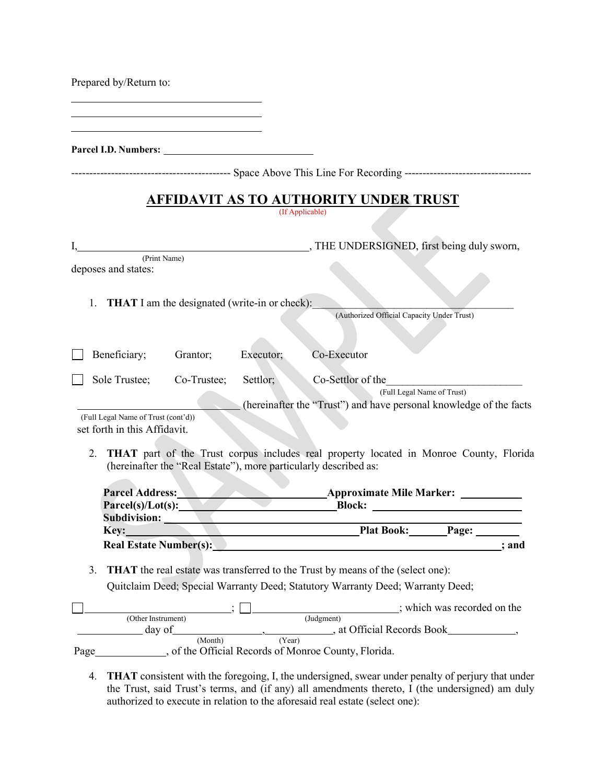|  | Prepared by/Return to: |  |
|--|------------------------|--|
|--|------------------------|--|

**Parcel I.D. Numbers:**

|  | Above<br>Space. |  |  | . This Line For Recording ---------------------------------- |
|--|-----------------|--|--|--------------------------------------------------------------|
|--|-----------------|--|--|--------------------------------------------------------------|

# **AFFIDAVIT AS TO AUTHORITY UNDER TRUST**

(If Applicable)

|      |                                                                     |                                                      |           | THE UNDERSIGNED, first being duly sworn,                                                                                                                                                                                                |
|------|---------------------------------------------------------------------|------------------------------------------------------|-----------|-----------------------------------------------------------------------------------------------------------------------------------------------------------------------------------------------------------------------------------------|
|      | (Print Name)<br>deposes and states:                                 |                                                      |           |                                                                                                                                                                                                                                         |
|      | 1.                                                                  | <b>THAT</b> I am the designated (write-in or check): |           | (Authorized Official Capacity Under Trust)                                                                                                                                                                                              |
|      |                                                                     |                                                      |           |                                                                                                                                                                                                                                         |
|      | Beneficiary;                                                        | Grantor;                                             | Executor; | Co-Executor                                                                                                                                                                                                                             |
|      | Sole Trustee;                                                       | Co-Trustee;                                          | Settlor;  | Co-Settlor of the<br>(Full Legal Name of Trust)<br>(hereinafter the "Trust") and have personal knowledge of the facts                                                                                                                   |
|      | (Full Legal Name of Trust (cont'd))<br>set forth in this Affidavit. |                                                      |           |                                                                                                                                                                                                                                         |
|      | 2.                                                                  |                                                      |           | THAT part of the Trust corpus includes real property located in Monroe County, Florida<br>(hereinafter the "Real Estate"), more particularly described as:                                                                              |
|      |                                                                     | Subdivision: New York 1988                           |           | Parcel(s)/Lot(s): Block: Block:                                                                                                                                                                                                         |
|      | Key: <b>Example 2018</b>                                            |                                                      |           | Plat Book: Page:                                                                                                                                                                                                                        |
|      |                                                                     |                                                      |           | Real Estate Number(s): Next Assembly New York Changes and Assembly New York Changes and Assembly New York Changes and Assembly New York Changes and Assembly New York Changes and Assembly New York Changes and Assembly New Y<br>; and |
|      | 3.                                                                  |                                                      |           | <b>THAT</b> the real estate was transferred to the Trust by means of the (select one):<br>Quitclaim Deed; Special Warranty Deed; Statutory Warranty Deed; Warranty Deed;                                                                |
|      |                                                                     |                                                      |           |                                                                                                                                                                                                                                         |
|      | (Other Instrument)                                                  |                                                      |           | (Judgment)<br>day of (Month) (Year), at Official Records Book (Month), (Year)                                                                                                                                                           |
| Page |                                                                     |                                                      |           | _, of the Official Records of Monroe County, Florida.                                                                                                                                                                                   |

4. **THAT** consistent with the foregoing, I, the undersigned, swear under penalty of perjury that under the Trust, said Trust's terms, and (if any) all amendments thereto, I (the undersigned) am duly authorized to execute in relation to the aforesaid real estate (select one):